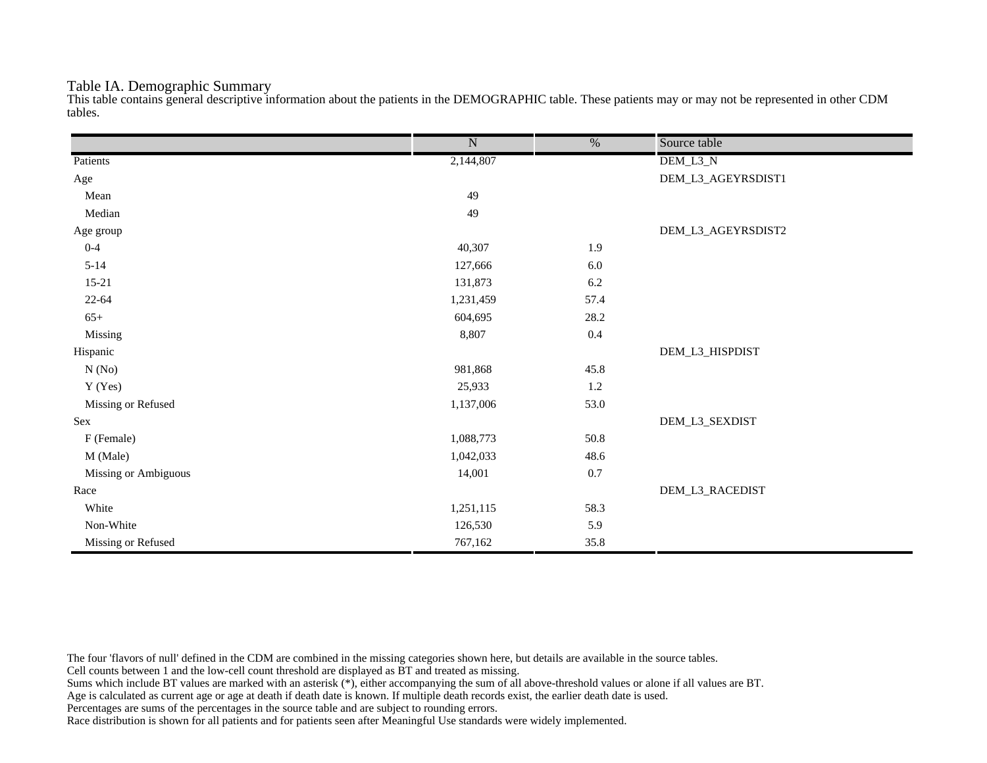#### Table IA. Demographic Summary

This table contains general descriptive information about the patients in the DEMOGRAPHIC table. These patients may or may not be represented in other CDM tables.

|                      | $\overline{\text{N}}$ | $\frac{0}{6}$ | Source table       |
|----------------------|-----------------------|---------------|--------------------|
| Patients             | 2,144,807             |               | DEM_L3_N           |
| Age                  |                       |               | DEM_L3_AGEYRSDIST1 |
| Mean                 | 49                    |               |                    |
| Median               | 49                    |               |                    |
| Age group            |                       |               | DEM_L3_AGEYRSDIST2 |
| $0 - 4$              | 40,307                | 1.9           |                    |
| $5 - 14$             | 127,666               | $6.0\,$       |                    |
| $15 - 21$            | 131,873               | 6.2           |                    |
| $22 - 64$            | 1,231,459             | 57.4          |                    |
| $65+$                | 604,695               | 28.2          |                    |
| Missing              | 8,807                 | 0.4           |                    |
| Hispanic             |                       |               | DEM_L3_HISPDIST    |
| N(No)                | 981,868               | 45.8          |                    |
| Y (Yes)              | 25,933                | $1.2\,$       |                    |
| Missing or Refused   | 1,137,006             | 53.0          |                    |
| Sex                  |                       |               | DEM_L3_SEXDIST     |
| F (Female)           | 1,088,773             | 50.8          |                    |
| M (Male)             | 1,042,033             | 48.6          |                    |
| Missing or Ambiguous | 14,001                | 0.7           |                    |
| Race                 |                       |               | DEM_L3_RACEDIST    |
| White                | 1,251,115             | 58.3          |                    |
| Non-White            | 126,530               | 5.9           |                    |
| Missing or Refused   | 767,162               | 35.8          |                    |

The four 'flavors of null' defined in the CDM are combined in the missing categories shown here, but details are available in the source tables.

Cell counts between 1 and the low-cell count threshold are displayed as BT and treated as missing.

Sums which include BT values are marked with an asterisk (\*), either accompanying the sum of all above-threshold values or alone if all values are BT.

Age is calculated as current age or age at death if death date is known. If multiple death records exist, the earlier death date is used.

Percentages are sums of the percentages in the source table and are subject to rounding errors.

Race distribution is shown for all patients and for patients seen after Meaningful Use standards were widely implemented.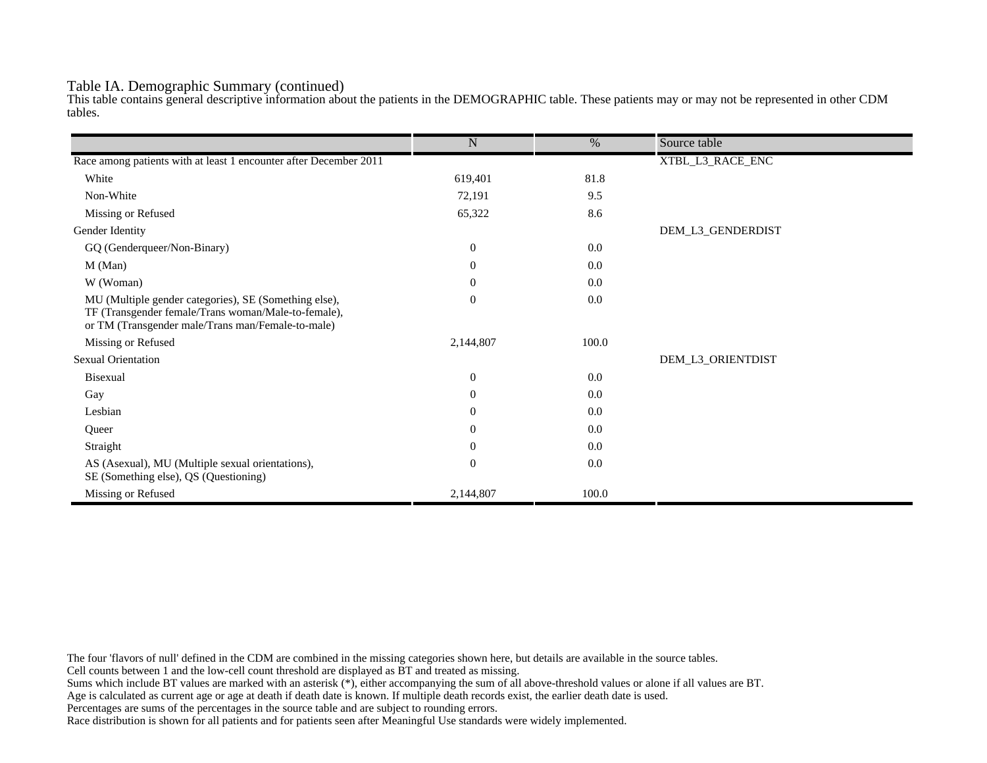#### Table IA. Demographic Summary (continued)

This table contains general descriptive information about the patients in the DEMOGRAPHIC table. These patients may or may not be represented in other CDM tables.

|                                                                                                                                                                   | $\mathbf N$      | %     | Source table      |
|-------------------------------------------------------------------------------------------------------------------------------------------------------------------|------------------|-------|-------------------|
| Race among patients with at least 1 encounter after December 2011                                                                                                 |                  |       | XTBL_L3_RACE_ENC  |
|                                                                                                                                                                   |                  |       |                   |
| White                                                                                                                                                             | 619,401          | 81.8  |                   |
| Non-White                                                                                                                                                         | 72,191           | 9.5   |                   |
| Missing or Refused                                                                                                                                                | 65,322           | 8.6   |                   |
| Gender Identity                                                                                                                                                   |                  |       | DEM_L3_GENDERDIST |
| GQ (Genderqueer/Non-Binary)                                                                                                                                       | $\overline{0}$   | 0.0   |                   |
| M (Man)                                                                                                                                                           | $\theta$         | 0.0   |                   |
| W (Woman)                                                                                                                                                         | $\boldsymbol{0}$ | 0.0   |                   |
| MU (Multiple gender categories), SE (Something else),<br>TF (Transgender female/Trans woman/Male-to-female),<br>or TM (Transgender male/Trans man/Female-to-male) | $\mathbf{0}$     | 0.0   |                   |
| Missing or Refused                                                                                                                                                | 2,144,807        | 100.0 |                   |
| <b>Sexual Orientation</b>                                                                                                                                         |                  |       | DEM_L3_ORIENTDIST |
| Bisexual                                                                                                                                                          | $\overline{0}$   | 0.0   |                   |
| Gay                                                                                                                                                               | $\overline{0}$   | 0.0   |                   |
| Lesbian                                                                                                                                                           | $\overline{0}$   | 0.0   |                   |
| Queer                                                                                                                                                             | $\overline{0}$   | 0.0   |                   |
| Straight                                                                                                                                                          | $\theta$         | 0.0   |                   |
| AS (Asexual), MU (Multiple sexual orientations),<br>SE (Something else), QS (Questioning)                                                                         | $\mathbf{0}$     | 0.0   |                   |
| Missing or Refused                                                                                                                                                | 2,144,807        | 100.0 |                   |

The four 'flavors of null' defined in the CDM are combined in the missing categories shown here, but details are available in the source tables.

Cell counts between 1 and the low-cell count threshold are displayed as BT and treated as missing.

Sums which include BT values are marked with an asterisk (\*), either accompanying the sum of all above-threshold values or alone if all values are BT.

Age is calculated as current age or age at death if death date is known. If multiple death records exist, the earlier death date is used.

Percentages are sums of the percentages in the source table and are subject to rounding errors.

Race distribution is shown for all patients and for patients seen after Meaningful Use standards were widely implemented.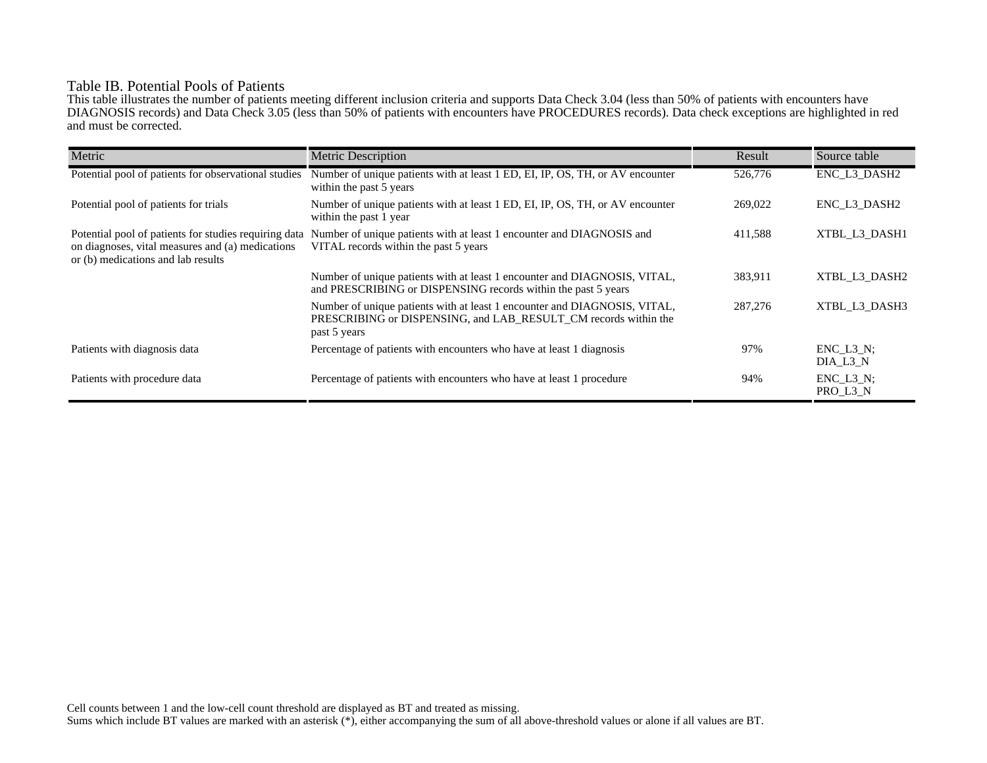## Table IB. Potential Pools of Patients

This table illustrates the number of patients meeting different inclusion criteria and supports Data Check 3.04 (less than 50% of patients with encounters have DIAGNOSIS records) and Data Check 3.05 (less than 50% of patients with encounters have PROCEDURES records). Data check exceptions are highlighted in red and must be corrected.

| Metric                                                                                                                                          | <b>Metric Description</b>                                                                                                                                    | Result  | Source table                 |
|-------------------------------------------------------------------------------------------------------------------------------------------------|--------------------------------------------------------------------------------------------------------------------------------------------------------------|---------|------------------------------|
| Potential pool of patients for observational studies                                                                                            | Number of unique patients with at least 1 ED, EI, IP, OS, TH, or AV encounter<br>within the past 5 years                                                     | 526,776 | ENC_L3_DASH2                 |
| Potential pool of patients for trials                                                                                                           | Number of unique patients with at least 1 ED, EI, IP, OS, TH, or AV encounter<br>within the past 1 year                                                      | 269,022 | ENC L3 DASH2                 |
| Potential pool of patients for studies requiring data<br>on diagnoses, vital measures and (a) medications<br>or (b) medications and lab results | Number of unique patients with at least 1 encounter and DIAGNOSIS and<br>VITAL records within the past 5 years                                               | 411,588 | XTBL L3 DASH1                |
|                                                                                                                                                 | Number of unique patients with at least 1 encounter and DIAGNOSIS, VITAL,<br>and PRESCRIBING or DISPENSING records within the past 5 years                   | 383,911 | XTBL L3 DASH2                |
|                                                                                                                                                 | Number of unique patients with at least 1 encounter and DIAGNOSIS, VITAL,<br>PRESCRIBING or DISPENSING, and LAB_RESULT_CM records within the<br>past 5 years | 287,276 | XTBL L3 DASH3                |
| Patients with diagnosis data                                                                                                                    | Percentage of patients with encounters who have at least 1 diagnosis                                                                                         | 97%     | $ENC$ $L3$ $N$ :<br>DIA L3 N |
| Patients with procedure data                                                                                                                    | Percentage of patients with encounters who have at least 1 procedure                                                                                         | 94%     | $ENC_L3_N;$<br>PRO_L3_N      |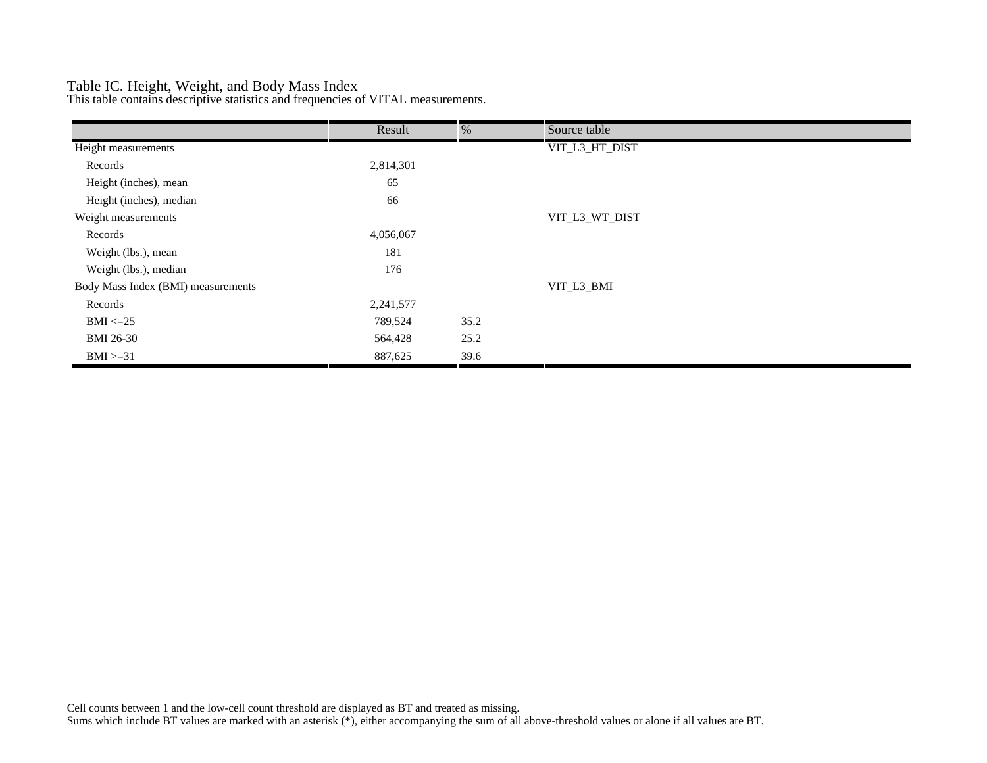## Table IC. Height, Weight, and Body Mass Index

This table contains descriptive statistics and frequencies of VITAL measurements.

|                                    | Result    | %    | Source table   |
|------------------------------------|-----------|------|----------------|
| Height measurements                |           |      | VIT_L3_HT_DIST |
| Records                            | 2,814,301 |      |                |
| Height (inches), mean              | 65        |      |                |
| Height (inches), median            | 66        |      |                |
| Weight measurements                |           |      | VIT_L3_WT_DIST |
| Records                            | 4,056,067 |      |                |
| Weight (lbs.), mean                | 181       |      |                |
| Weight (lbs.), median              | 176       |      |                |
| Body Mass Index (BMI) measurements |           |      | VIT_L3_BMI     |
| Records                            | 2,241,577 |      |                |
| $BMI \leq 25$                      | 789,524   | 35.2 |                |
| <b>BMI 26-30</b>                   | 564,428   | 25.2 |                |
| $BMI > = 31$                       | 887,625   | 39.6 |                |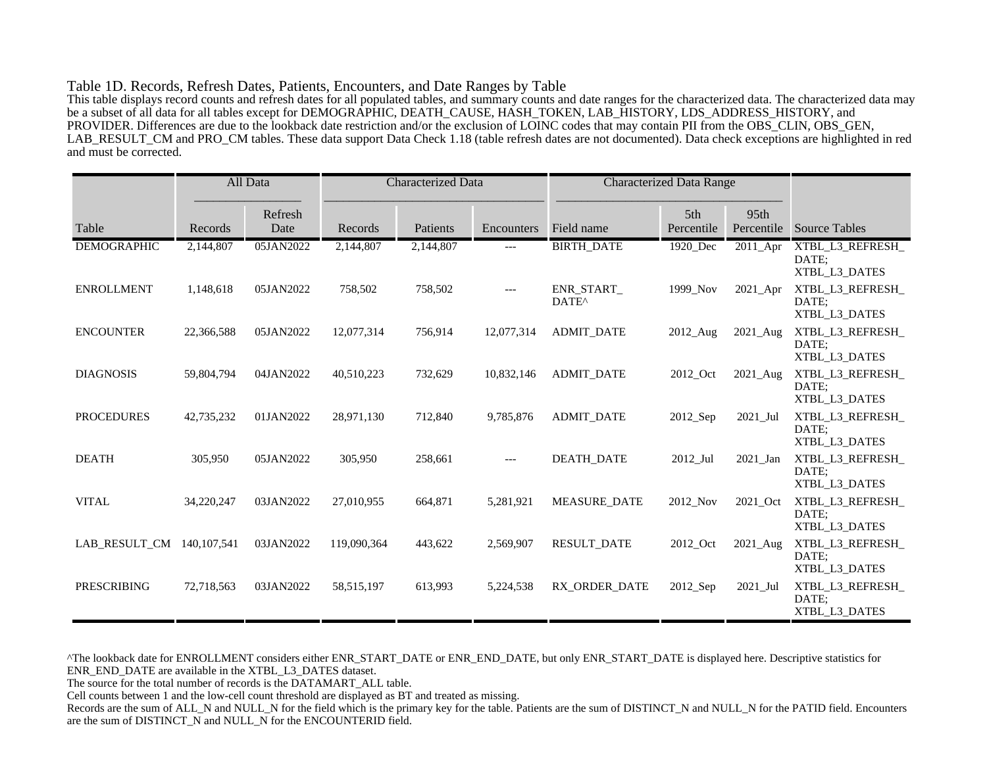#### Table 1D. Records, Refresh Dates, Patients, Encounters, and Date Ranges by Table

This table displays record counts and refresh dates for all populated tables, and summary counts and date ranges for the characterized data. The characterized data may be a subset of all data for all tables except for DEMOGRAPHIC, DEATH\_CAUSE, HASH\_TOKEN, LAB\_HISTORY, LDS\_ADDRESS\_HISTORY, and PROVIDER. Differences are due to the lookback date restriction and/or the exclusion of LOINC codes that may contain PII from the OBS\_CLIN, OBS\_GEN, LAB\_RESULT\_CM and PRO\_CM tables. These data support Data Check 1.18 (table refresh dates are not documented). Data check exceptions are highlighted in red and must be corrected.

|                    |               | All Data        | <b>Characterized Data</b> |           | <b>Characterized Data Range</b> |                                       |                   |                    |                                            |
|--------------------|---------------|-----------------|---------------------------|-----------|---------------------------------|---------------------------------------|-------------------|--------------------|--------------------------------------------|
| Table              | Records       | Refresh<br>Date | Records                   | Patients  | Encounters                      | Field name                            | 5th<br>Percentile | 95th<br>Percentile | <b>Source Tables</b>                       |
| <b>DEMOGRAPHIC</b> | 2,144,807     | 05JAN2022       | 2,144,807                 | 2,144,807 | ---                             | <b>BIRTH_DATE</b>                     | 1920_Dec          | 2011_Apr           | XTBL_L3_REFRESH_<br>DATE:<br>XTBL_L3_DATES |
| <b>ENROLLMENT</b>  | 1,148,618     | 05JAN2022       | 758,502                   | 758,502   | $---$                           | <b>ENR START</b><br>DATE <sup>^</sup> | 1999 Nov          | $2021$ Apr         | XTBL_L3_REFRESH_<br>DATE:<br>XTBL L3 DATES |
| <b>ENCOUNTER</b>   | 22,366,588    | 05JAN2022       | 12,077,314                | 756,914   | 12,077,314                      | <b>ADMIT_DATE</b>                     | 2012_Aug          | 2021_Aug           | XTBL_L3_REFRESH_<br>DATE:<br>XTBL_L3_DATES |
| <b>DIAGNOSIS</b>   | 59,804,794    | 04JAN2022       | 40,510,223                | 732,629   | 10,832,146                      | <b>ADMIT DATE</b>                     | 2012 Oct          | 2021_Aug           | XTBL_L3_REFRESH_<br>DATE:<br>XTBL_L3_DATES |
| <b>PROCEDURES</b>  | 42,735,232    | 01JAN2022       | 28,971,130                | 712,840   | 9,785,876                       | <b>ADMIT DATE</b>                     | 2012_Sep          | 2021 Jul           | XTBL_L3_REFRESH_<br>DATE:<br>XTBL_L3_DATES |
| <b>DEATH</b>       | 305,950       | 05JAN2022       | 305,950                   | 258,661   | $---$                           | <b>DEATH DATE</b>                     | 2012_Jul          | $2021$ _Jan        | XTBL_L3_REFRESH_<br>DATE:<br>XTBL_L3_DATES |
| <b>VITAL</b>       | 34,220,247    | 03JAN2022       | 27,010,955                | 664,871   | 5,281,921                       | <b>MEASURE DATE</b>                   | 2012_Nov          | 2021 Oct           | XTBL_L3_REFRESH_<br>DATE:<br>XTBL_L3_DATES |
| LAB RESULT_CM      | 140, 107, 541 | 03JAN2022       | 119,090,364               | 443,622   | 2,569,907                       | <b>RESULT_DATE</b>                    | 2012_Oct          | 2021_Aug           | XTBL_L3_REFRESH_<br>DATE:<br>XTBL_L3_DATES |
| <b>PRESCRIBING</b> | 72,718,563    | 03JAN2022       | 58,515,197                | 613,993   | 5,224,538                       | RX ORDER DATE                         | 2012_Sep          | 2021 Jul           | XTBL_L3_REFRESH_<br>DATE:<br>XTBL_L3_DATES |

^The lookback date for ENROLLMENT considers either ENR\_START\_DATE or ENR\_END\_DATE, but only ENR\_START\_DATE is displayed here. Descriptive statistics for ENR\_END\_DATE are available in the XTBL\_L3\_DATES dataset.

The source for the total number of records is the DATAMART\_ALL table.

Cell counts between 1 and the low-cell count threshold are displayed as BT and treated as missing.

Records are the sum of ALL\_N and NULL\_N for the field which is the primary key for the table. Patients are the sum of DISTINCT\_N and NULL\_N for the PATID field. Encounters are the sum of DISTINCT\_N and NULL\_N for the ENCOUNTERID field.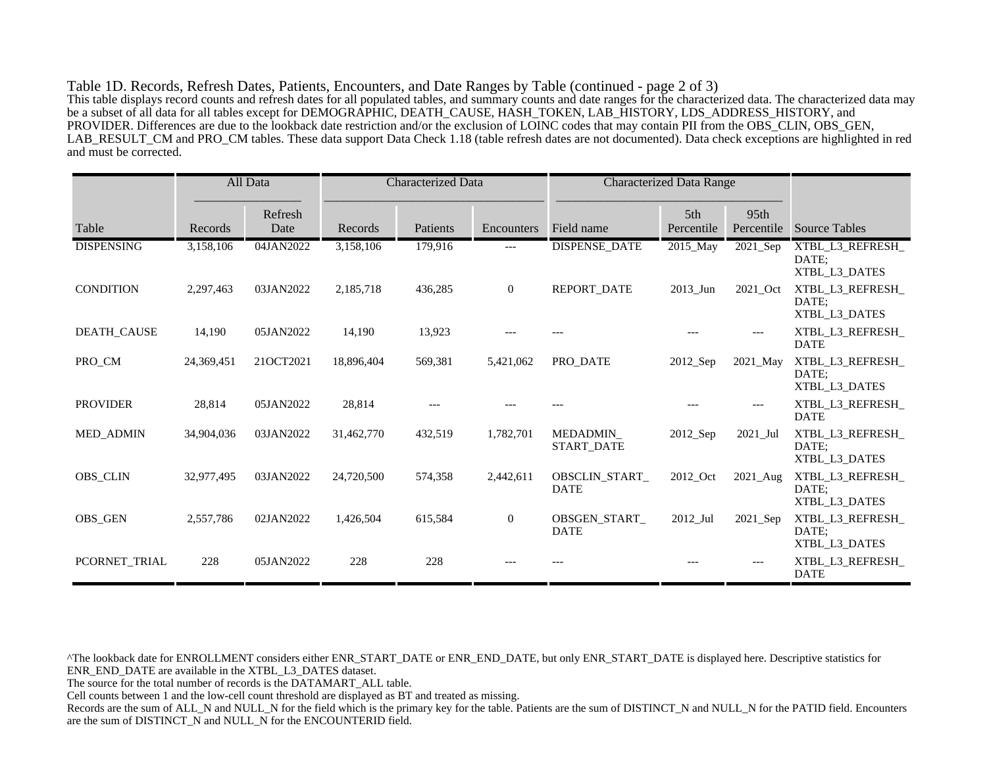Table 1D. Records, Refresh Dates, Patients, Encounters, and Date Ranges by Table (continued - page 2 of 3) This table displays record counts and refresh dates for all populated tables, and summary counts and date ranges for the characterized data. The characterized data may be a subset of all data for all tables except for DEMOGRAPHIC, DEATH\_CAUSE, HASH\_TOKEN, LAB\_HISTORY, LDS\_ADDRESS\_HISTORY, and PROVIDER. Differences are due to the lookback date restriction and/or the exclusion of LOINC codes that may contain PII from the OBS\_CLIN, OBS\_GEN, LAB\_RESULT\_CM and PRO\_CM tables. These data support Data Check 1.18 (table refresh dates are not documented). Data check exceptions are highlighted in red and must be corrected.

|                    |            | All Data        | <b>Characterized Data</b> |          | <b>Characterized Data Range</b> |                               |                        |                    |                                            |
|--------------------|------------|-----------------|---------------------------|----------|---------------------------------|-------------------------------|------------------------|--------------------|--------------------------------------------|
| Table              | Records    | Refresh<br>Date | Records                   | Patients | Encounters                      | Field name                    | 5th<br>Percentile      | 95th<br>Percentile | <b>Source Tables</b>                       |
| <b>DISPENSING</b>  | 3,158,106  | 04JAN2022       | 3,158,106                 | 179,916  | $---$                           | <b>DISPENSE_DATE</b>          | 2015_May               | 2021_Sep           | XTBL_L3_REFRESH_<br>DATE;<br>XTBL_L3_DATES |
| <b>CONDITION</b>   | 2,297,463  | 03JAN2022       | 2,185,718                 | 436,285  | $\overline{0}$                  | <b>REPORT DATE</b>            | 2013_Jun               | 2021 Oct           | XTBL_L3_REFRESH_<br>DATE:<br>XTBL_L3_DATES |
| <b>DEATH_CAUSE</b> | 14,190     | 05JAN2022       | 14,190                    | 13,923   |                                 |                               |                        |                    | XTBL_L3_REFRESH_<br><b>DATE</b>            |
| PRO_CM             | 24,369,451 | 21OCT2021       | 18.896.404                | 569,381  | 5,421,062                       | PRO DATE                      | 2012_Sep               | 2021_May           | XTBL_L3_REFRESH_<br>DATE:<br>XTBL_L3_DATES |
| <b>PROVIDER</b>    | 28,814     | 05JAN2022       | 28,814                    |          |                                 |                               |                        |                    | XTBL L3 REFRESH<br><b>DATE</b>             |
| <b>MED ADMIN</b>   | 34,904,036 | 03JAN2022       | 31,462,770                | 432,519  | 1,782,701                       | MEDADMIN<br><b>START DATE</b> | $2012$ <sub>-Sep</sub> | 2021 Jul           | XTBL_L3_REFRESH_<br>DATE;<br>XTBL_L3_DATES |
| <b>OBS_CLIN</b>    | 32,977,495 | 03JAN2022       | 24,720,500                | 574,358  | 2,442,611                       | OBSCLIN_START_<br><b>DATE</b> | 2012_Oct               | 2021_Aug           | XTBL_L3_REFRESH_<br>DATE:<br>XTBL L3 DATES |
| <b>OBS_GEN</b>     | 2,557,786  | 02JAN2022       | 1,426,504                 | 615,584  | $\mathbf{0}$                    | OBSGEN START<br><b>DATE</b>   | 2012 Jul               | 2021_Sep           | XTBL_L3_REFRESH_<br>DATE:<br>XTBL L3 DATES |
| PCORNET_TRIAL      | 228        | 05JAN2022       | 228                       | 228      |                                 |                               |                        |                    | XTBL_L3_REFRESH_<br><b>DATE</b>            |

^The lookback date for ENROLLMENT considers either ENR\_START\_DATE or ENR\_END\_DATE, but only ENR\_START\_DATE is displayed here. Descriptive statistics for ENR\_END\_DATE are available in the XTBL\_L3\_DATES dataset.

The source for the total number of records is the DATAMART\_ALL table.

Cell counts between 1 and the low-cell count threshold are displayed as BT and treated as missing.

Records are the sum of ALL\_N and NULL\_N for the field which is the primary key for the table. Patients are the sum of DISTINCT\_N and NULL\_N for the PATID field. Encounters are the sum of DISTINCT\_N and NULL\_N for the ENCOUNTERID field.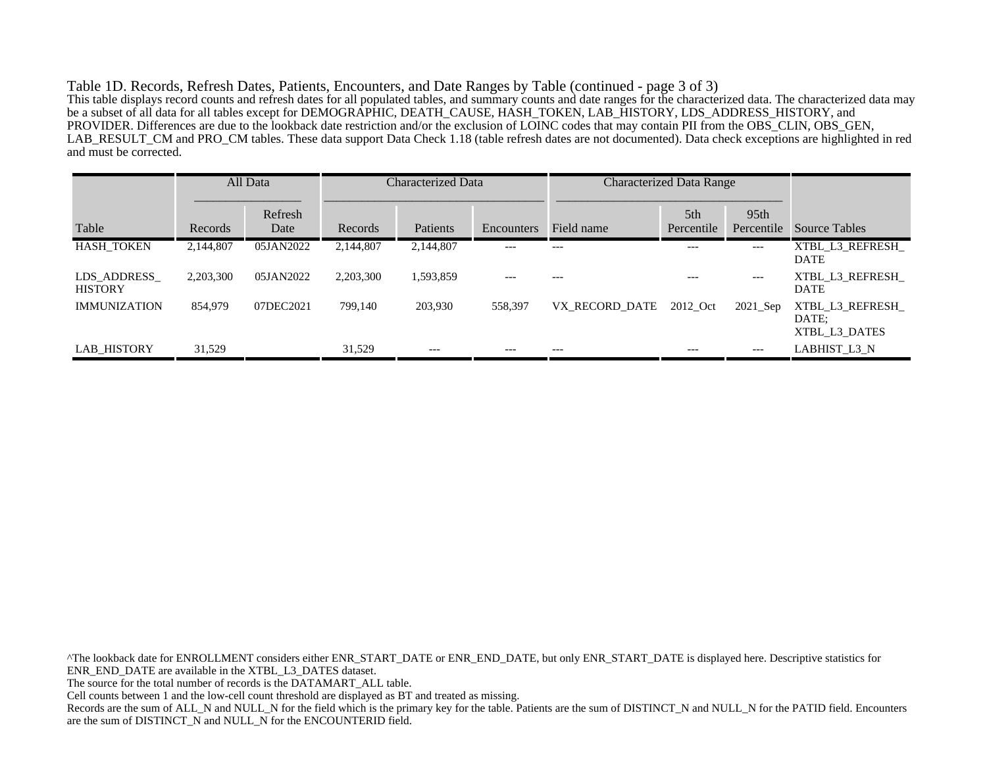Table 1D. Records, Refresh Dates, Patients, Encounters, and Date Ranges by Table (continued - page 3 of 3) This table displays record counts and refresh dates for all populated tables, and summary counts and date ranges for the characterized data. The characterized data may be a subset of all data for all tables except for DEMOGRAPHIC, DEATH\_CAUSE, HASH\_TOKEN, LAB\_HISTORY, LDS\_ADDRESS\_HISTORY, and PROVIDER. Differences are due to the lookback date restriction and/or the exclusion of LOINC codes that may contain PII from the OBS\_CLIN, OBS\_GEN, LAB\_RESULT\_CM and PRO\_CM tables. These data support Data Check 1.18 (table refresh dates are not documented). Data check exceptions are highlighted in red and must be corrected.

|                               |           | All Data        | Characterized Data |           |            |                | <b>Characterized Data Range</b> |                                |                                           |
|-------------------------------|-----------|-----------------|--------------------|-----------|------------|----------------|---------------------------------|--------------------------------|-------------------------------------------|
| Table                         | Records   | Refresh<br>Date | Records            | Patients  | Encounters | Field name     | 5th<br>Percentile               | 95 <sub>th</sub><br>Percentile | <b>Source Tables</b>                      |
| <b>HASH TOKEN</b>             | 2,144,807 | 05JAN2022       | 2,144,807          | 2,144,807 | $- - -$    | $---$          | $---$                           | $---$                          | XTBL L3 REFRESH<br><b>DATE</b>            |
| LDS ADDRESS<br><b>HISTORY</b> | 2,203,300 | 05JAN2022       | 2,203,300          | 1,593,859 |            | ---            | $---$                           | $---$                          | XTBL L3 REFRESH<br><b>DATE</b>            |
| <b>IMMUNIZATION</b>           | 854,979   | 07DEC2021       | 799,140            | 203.930   | 558.397    | VX RECORD DATE | 2012 Oct                        | $2021$ Sep                     | XTBL L3 REFRESH<br>DATE:<br>XTBL L3 DATES |
| <b>LAB HISTORY</b>            | 31,529    |                 | 31,529             | $---$     | $- - -$    | $---$          | $---$                           | $---$                          | LABHIST L3 N                              |

^The lookback date for ENROLLMENT considers either ENR\_START\_DATE or ENR\_END\_DATE, but only ENR\_START\_DATE is displayed here. Descriptive statistics for ENR\_END\_DATE are available in the XTBL\_L3\_DATES dataset. The source for the total number of records is the DATAMART\_ALL table. Cell counts between 1 and the low-cell count threshold are displayed as BT and treated as missing. Records are the sum of ALL\_N and NULL\_N for the field which is the primary key for the table. Patients are the sum of DISTINCT\_N and NULL\_N for the PATID field. Encounters are the sum of DISTINCT\_N and NULL\_N for the ENCOUNTERID field.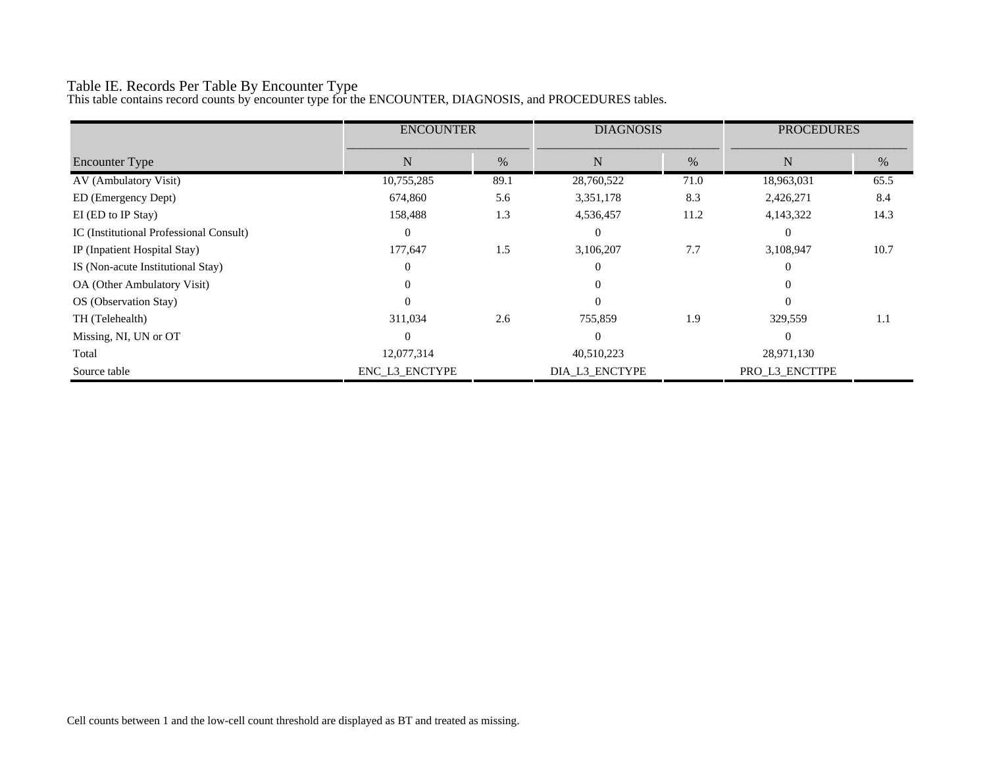# Table IE. Records Per Table By Encounter Type

This table contains record counts by encounter type for the ENCOUNTER, DIAGNOSIS, and PROCEDURES tables.

|                                         | <b>ENCOUNTER</b> |      | <b>DIAGNOSIS</b> |      | <b>PROCEDURES</b> |      |
|-----------------------------------------|------------------|------|------------------|------|-------------------|------|
| <b>Encounter Type</b>                   | N                | $\%$ | $\mathbf N$      | %    | $\mathbf N$       | $\%$ |
| AV (Ambulatory Visit)                   | 10,755,285       | 89.1 | 28,760,522       | 71.0 | 18,963,031        | 65.5 |
| ED (Emergency Dept)                     | 674,860          | 5.6  | 3,351,178        | 8.3  | 2,426,271         | 8.4  |
| EI (ED to IP Stay)                      | 158,488          | 1.3  | 4,536,457        | 11.2 | 4,143,322         | 14.3 |
| IC (Institutional Professional Consult) | $\theta$         |      | $\Omega$         |      | $\Omega$          |      |
| IP (Inpatient Hospital Stay)            | 177,647          | 1.5  | 3,106,207        | 7.7  | 3,108,947         | 10.7 |
| IS (Non-acute Institutional Stay)       | $\Omega$         |      | $\Omega$         |      | $\Omega$          |      |
| OA (Other Ambulatory Visit)             | 0                |      | 0                |      |                   |      |
| OS (Observation Stay)                   | $\Omega$         |      | $\Omega$         |      | $\Omega$          |      |
| TH (Telehealth)                         | 311,034          | 2.6  | 755,859          | 1.9  | 329,559           | 1.1  |
| Missing, NI, UN or OT                   | $\Omega$         |      | $\Omega$         |      | $\Omega$          |      |
| Total                                   | 12,077,314       |      | 40,510,223       |      | 28,971,130        |      |
| Source table                            | ENC_L3_ENCTYPE   |      | DIA_L3_ENCTYPE   |      | PRO_L3_ENCTTPE    |      |